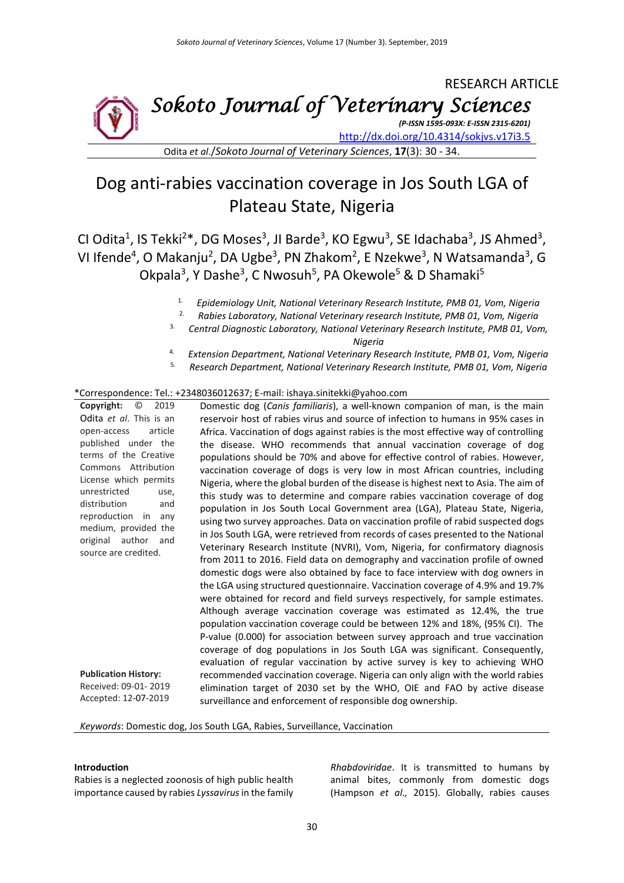## RESEARCH ARTICLE *Sokoto Journal of Veterinary Sciences*

*(P-ISSN 1595-093X: E-ISSN 2315-6201)* <http://dx.doi.org/10.4314/sokjvs.v17i3.5>

Odita *et al*./*Sokoto Journal of Veterinary Sciences*, **17**(3): 30 - 34.

# Dog anti-rabies vaccination coverage in Jos South LGA of Plateau State, Nigeria

CI Odita<sup>1</sup>, IS Tekki<sup>2\*</sup>, DG Moses<sup>3</sup>, JI Barde<sup>3</sup>, KO Egwu<sup>3</sup>, SE Idachaba<sup>3</sup>, JS Ahmed<sup>3</sup>, VI Ifende<sup>4</sup>, O Makanju<sup>2</sup>, DA Ugbe<sup>3</sup>, PN Zhakom<sup>2</sup>, E Nzekwe<sup>3</sup>, N Watsamanda<sup>3</sup>, G Okpala<sup>3</sup>, Y Dashe<sup>3</sup>, C Nwosuh<sup>5</sup>, PA Okewole<sup>5</sup> & D Shamaki<sup>5</sup>

- 1. *Epidemiology Unit, National Veterinary Research Institute, PMB 01, Vom, Nigeria*
- 2. *Rabies Laboratory, National Veterinary research Institute, PMB 01, Vom, Nigeria*
- 3. *Central Diagnostic Laboratory, National Veterinary Research Institute, PMB 01, Vom,*

*Nigeria*

- 4. *Extension Department, National Veterinary Research Institute, PMB 01, Vom, Nigeria*
- 5. *Research Department, National Veterinary Research Institute, PMB 01, Vom, Nigeria*

#### \*Correspondence: Tel.: +2348036012637; E-mail: ishaya.sinitekki@yahoo.com

**Copyright:** © 2019 Odita *et al*. This is an open-access article published under the terms of the Creative Commons Attribution License which permits unrestricted use, distribution and reproduction in any medium, provided the original author and source are credited. **Publication History:**  Received: 09-01- 2019 Accepted: 12-07-2019 Domestic dog (*Canis familiaris*), a well-known companion of man, is the main reservoir host of rabies virus and source of infection to humans in 95% cases in Africa. Vaccination of dogs against rabies is the most effective way of controlling the disease. WHO recommends that annual vaccination coverage of dog populations should be 70% and above for effective control of rabies. However, vaccination coverage of dogs is very low in most African countries, including Nigeria, where the global burden of the disease is highest next to Asia. The aim of this study was to determine and compare rabies vaccination coverage of dog population in Jos South Local Government area (LGA), Plateau State, Nigeria, using two survey approaches. Data on vaccination profile of rabid suspected dogs in Jos South LGA, were retrieved from records of cases presented to the National Veterinary Research Institute (NVRI), Vom, Nigeria, for confirmatory diagnosis from 2011 to 2016. Field data on demography and vaccination profile of owned domestic dogs were also obtained by face to face interview with dog owners in the LGA using structured questionnaire. Vaccination coverage of 4.9% and 19.7% were obtained for record and field surveys respectively, for sample estimates. Although average vaccination coverage was estimated as 12.4%, the true population vaccination coverage could be between 12% and 18%, (95% CI). The P-value (0.000) for association between survey approach and true vaccination coverage of dog populations in Jos South LGA was significant. Consequently, evaluation of regular vaccination by active survey is key to achieving WHO recommended vaccination coverage. Nigeria can only align with the world rabies elimination target of 2030 set by the WHO, OIE and FAO by active disease surveillance and enforcement of responsible dog ownership.

#### *Keywords*: Domestic dog, Jos South LGA, Rabies, Surveillance, Vaccination

#### **Introduction**

Rabies is a neglected zoonosis of high public health importance caused by rabies *Lyssavirus*in the family *Rhabdoviridae*. It is transmitted to humans by animal bites, commonly from domestic dogs (Hampson *et al.,* 2015). Globally, rabies causes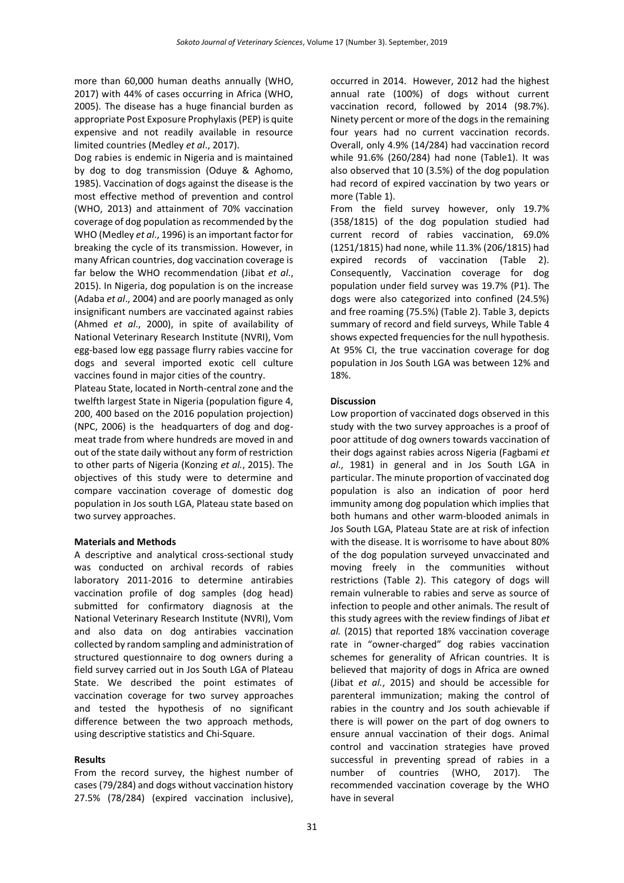more than 60,000 human deaths annually (WHO, 2017) with 44% of cases occurring in Africa (WHO, 2005). The disease has a huge financial burden as appropriate Post Exposure Prophylaxis (PEP) is quite expensive and not readily available in resource limited countries (Medley *et al*., 2017).

Dog rabies is endemic in Nigeria and is maintained by dog to dog transmission (Oduye & Aghomo, 1985). Vaccination of dogs against the disease is the most effective method of prevention and control (WHO, 2013) and attainment of 70% vaccination coverage of dog population as recommended by the WHO (Medley *et al*., 1996) is an important factor for breaking the cycle of its transmission. However, in many African countries, dog vaccination coverage is far below the WHO recommendation (Jibat *et al*., 2015). In Nigeria, dog population is on the increase (Adaba *et al*., 2004) and are poorly managed as only insignificant numbers are vaccinated against rabies (Ahmed *et al*., 2000), in spite of availability of National Veterinary Research Institute (NVRI), Vom egg-based low egg passage flurry rabies vaccine for dogs and several imported exotic cell culture vaccines found in major cities of the country.

Plateau State, located in North-central zone and the twelfth largest State in Nigeria (population figure 4, 200, 400 based on the 2016 population projection) (NPC, 2006) is the headquarters of dog and dogmeat trade from where hundreds are moved in and out of the state daily without any form of restriction to other parts of Nigeria (Konzing *et al.*, 2015). The objectives of this study were to determine and compare vaccination coverage of domestic dog population in Jos south LGA, Plateau state based on two survey approaches.

## **Materials and Methods**

A descriptive and analytical cross-sectional study was conducted on archival records of rabies laboratory 2011-2016 to determine antirabies vaccination profile of dog samples (dog head) submitted for confirmatory diagnosis at the National Veterinary Research Institute (NVRI), Vom and also data on dog antirabies vaccination collected by random sampling and administration of structured questionnaire to dog owners during a field survey carried out in Jos South LGA of Plateau State. We described the point estimates of vaccination coverage for two survey approaches and tested the hypothesis of no significant difference between the two approach methods, using descriptive statistics and Chi-Square.

## **Results**

From the record survey, the highest number of cases (79/284) and dogs without vaccination history 27.5% (78/284) (expired vaccination inclusive), occurred in 2014. However, 2012 had the highest annual rate (100%) of dogs without current vaccination record, followed by 2014 (98.7%). Ninety percent or more of the dogs in the remaining four years had no current vaccination records. Overall, only 4.9% (14/284) had vaccination record while 91.6% (260/284) had none (Table1). It was also observed that 10 (3.5%) of the dog population had record of expired vaccination by two years or more (Table 1).

From the field survey however, only 19.7% (358/1815) of the dog population studied had current record of rabies vaccination, 69.0% (1251/1815) had none, while 11.3% (206/1815) had expired records of vaccination (Table 2). Consequently, Vaccination coverage for dog population under field survey was 19.7% (P1). The dogs were also categorized into confined (24.5%) and free roaming (75.5%) (Table 2). Table 3, depicts summary of record and field surveys, While Table 4 shows expected frequencies for the null hypothesis. At 95% CI, the true vaccination coverage for dog population in Jos South LGA was between 12% and 18%.

#### **Discussion**

Low proportion of vaccinated dogs observed in this study with the two survey approaches is a proof of poor attitude of dog owners towards vaccination of their dogs against rabies across Nigeria (Fagbami *et al*., 1981) in general and in Jos South LGA in particular. The minute proportion of vaccinated dog population is also an indication of poor herd immunity among dog population which implies that both humans and other warm-blooded animals in Jos South LGA, Plateau State are at risk of infection with the disease. It is worrisome to have about 80% of the dog population surveyed unvaccinated and moving freely in the communities without restrictions (Table 2). This category of dogs will remain vulnerable to rabies and serve as source of infection to people and other animals. The result of this study agrees with the review findings of Jibat *et al.* (2015) that reported 18% vaccination coverage rate in "owner-charged" dog rabies vaccination schemes for generality of African countries. It is believed that majority of dogs in Africa are owned (Jibat *et al.*, 2015) and should be accessible for parenteral immunization; making the control of rabies in the country and Jos south achievable if there is will power on the part of dog owners to ensure annual vaccination of their dogs. Animal control and vaccination strategies have proved successful in preventing spread of rabies in a number of countries (WHO, 2017). The recommended vaccination coverage by the WHO have in several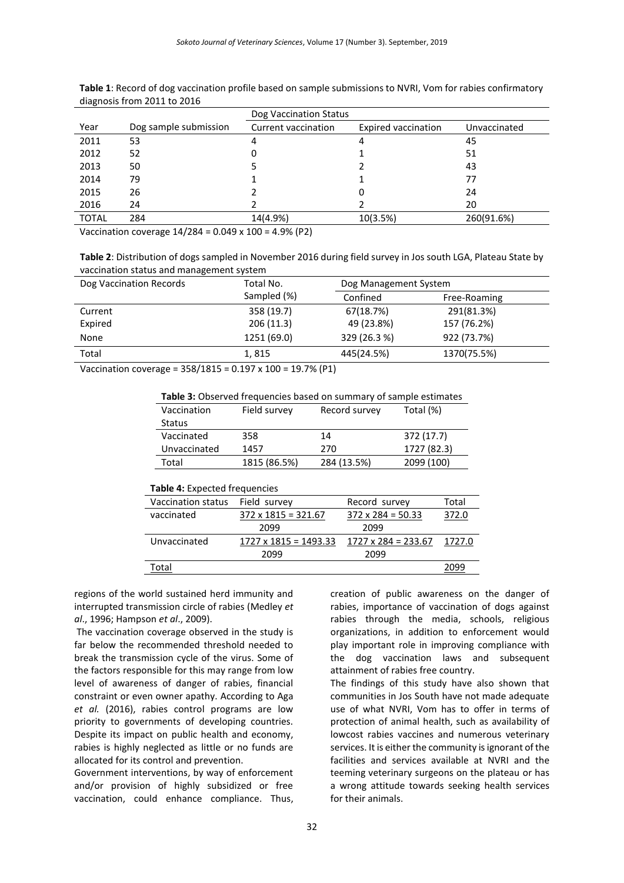|              |                       | Dog Vaccination Status |                            |              |
|--------------|-----------------------|------------------------|----------------------------|--------------|
| Year         | Dog sample submission | Current vaccination    | <b>Expired vaccination</b> | Unvaccinated |
| 2011         | 53                    | 4                      |                            | 45           |
| 2012         | 52                    | 0                      |                            | 51           |
| 2013         | 50                    |                        |                            | 43           |
| 2014         | 79                    |                        |                            | 77           |
| 2015         | 26                    |                        |                            | 24           |
| 2016         | 24                    |                        |                            | 20           |
| <b>TOTAL</b> | 284                   | 14(4.9%)               | 10(3.5%)                   | 260(91.6%)   |

**Table 1**: Record of dog vaccination profile based on sample submissions to NVRI, Vom for rabies confirmatory diagnosis from 2011 to 2016

Vaccination coverage 14/284 = 0.049 x 100 = 4.9% (P2)

**Table 2**: Distribution of dogs sampled in November 2016 during field survey in Jos south LGA, Plateau State by vaccination status and management system

| Dog Vaccination Records | Total No.   |              | Dog Management System |  |
|-------------------------|-------------|--------------|-----------------------|--|
|                         | Sampled (%) | Confined     | Free-Roaming          |  |
| Current                 | 358 (19.7)  | 67(18.7%)    | 291(81.3%)            |  |
| Expired                 | 206(11.3)   | 49 (23.8%)   | 157 (76.2%)           |  |
| None                    | 1251 (69.0) | 329 (26.3 %) | 922 (73.7%)           |  |
| Total                   | 1,815       | 445(24.5%)   | 1370(75.5%)           |  |

Vaccination coverage = 358/1815 = 0.197 x 100 = 19.7% (P1)

| Table 3: Observed frequencies based on summary of sample estimates |  |  |  |  |  |
|--------------------------------------------------------------------|--|--|--|--|--|
|--------------------------------------------------------------------|--|--|--|--|--|

| Vaccination  | Field survey | Record survey | Total (%)   |
|--------------|--------------|---------------|-------------|
| Status       |              |               |             |
| Vaccinated   | 358          | 14            | 372 (17.7)  |
| Unvaccinated | 1457         | 270           | 1727 (82.3) |
| Total        | 1815 (86.5%) | 284 (13.5%)   | 2099 (100)  |
|              |              |               |             |

| <b>Table 4: Expected frequencies</b> |                              |                            |        |  |
|--------------------------------------|------------------------------|----------------------------|--------|--|
| Vaccination status                   | Field survey                 | Record survey              | Total  |  |
| vaccinated                           | $372 \times 1815 = 321.67$   | $372 \times 284 = 50.33$   | 372.0  |  |
|                                      | 2099                         | 2099                       |        |  |
| Unvaccinated                         | $1727 \times 1815 = 1493.33$ | $1727 \times 284 = 233.67$ | 1727.0 |  |
|                                      | 2099                         | 2099                       |        |  |
| Total                                |                              |                            | 2099   |  |

regions of the world sustained herd immunity and interrupted transmission circle of rabies (Medley *et al*., 1996; Hampson *et al*., 2009).

The vaccination coverage observed in the study is far below the recommended threshold needed to break the transmission cycle of the virus. Some of the factors responsible for this may range from low level of awareness of danger of rabies, financial constraint or even owner apathy. According to Aga *et al.* (2016), rabies control programs are low priority to governments of developing countries. Despite its impact on public health and economy, rabies is highly neglected as little or no funds are allocated for its control and prevention.

Government interventions, by way of enforcement and/or provision of highly subsidized or free vaccination, could enhance compliance. Thus,

creation of public awareness on the danger of rabies, importance of vaccination of dogs against rabies through the media, schools, religious organizations, in addition to enforcement would play important role in improving compliance with the dog vaccination laws and subsequent attainment of rabies free country.

The findings of this study have also shown that communities in Jos South have not made adequate use of what NVRI, Vom has to offer in terms of protection of animal health, such as availability of lowcost rabies vaccines and numerous veterinary services. It is either the community is ignorant of the facilities and services available at NVRI and the teeming veterinary surgeons on the plateau or has a wrong attitude towards seeking health services for their animals.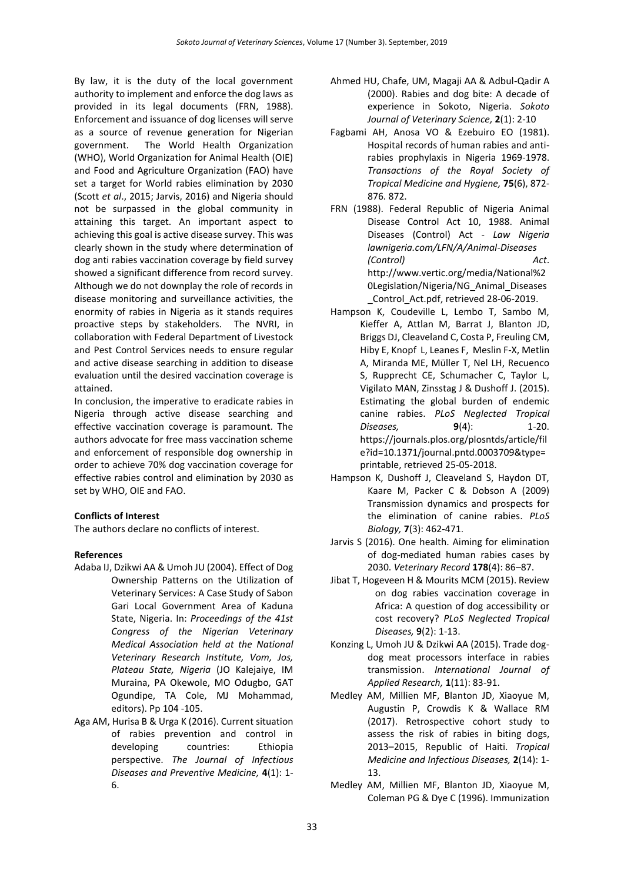By law, it is the duty of the local government authority to implement and enforce the dog laws as provided in its legal documents (FRN, 1988). Enforcement and issuance of dog licenses will serve as a source of revenue generation for Nigerian government. The World Health Organization (WHO), World Organization for Animal Health (OIE) and Food and Agriculture Organization (FAO) have set a target for World rabies elimination by 2030 (Scott *et al*., 2015; Jarvis, 2016) and Nigeria should not be surpassed in the global community in attaining this target. An important aspect to achieving this goal is active disease survey. This was clearly shown in the study where determination of dog anti rabies vaccination coverage by field survey showed a significant difference from record survey. Although we do not downplay the role of records in disease monitoring and surveillance activities, the enormity of rabies in Nigeria as it stands requires proactive steps by stakeholders. The NVRI, in collaboration with Federal Department of Livestock and Pest Control Services needs to ensure regular and active disease searching in addition to disease evaluation until the desired vaccination coverage is attained.

In conclusion, the imperative to eradicate rabies in Nigeria through active disease searching and effective vaccination coverage is paramount. The authors advocate for free mass vaccination scheme and enforcement of responsible dog ownership in order to achieve 70% dog vaccination coverage for effective rabies control and elimination by 2030 as set by WHO, OIE and FAO.

## **Conflicts of Interest**

The authors declare no conflicts of interest.

## **References**

- Adaba IJ, Dzikwi AA & Umoh JU (2004). Effect of Dog Ownership Patterns on the Utilization of Veterinary Services: A Case Study of Sabon Gari Local Government Area of Kaduna State, Nigeria. In: *Proceedings of the 41st Congress of the Nigerian Veterinary Medical Association held at the National Veterinary Research Institute, Vom, Jos, Plateau State, Nigeria* (JO Kalejaiye, IM Muraina, PA Okewole, MO Odugbo, GAT Ogundipe, TA Cole, MJ Mohammad, editors). Pp 104 -105.
- Aga AM, Hurisa B & Urga K (2016). Current situation of rabies prevention and control in developing countries: Ethiopia perspective. *The Journal of Infectious Diseases and Preventive Medicine,* **4**(1): 1- 6.
- Ahmed HU, Chafe, UM, Magaji AA & Adbul-Qadir A (2000). Rabies and dog bite: A decade of experience in Sokoto, Nigeria. *Sokoto Journal of Veterinary Science,* **2**(1): 2-10
- Fagbami AH, Anosa VO & Ezebuiro EO (1981). Hospital records of human rabies and antirabies prophylaxis in Nigeria 1969-1978. *Transactions of the Royal Society of Tropical Medicine and Hygiene,* **75**(6), 872- 876. 872.
- FRN (1988). Federal Republic of Nigeria Animal Disease Control Act 10, 1988. Animal Diseases (Control) Act - *Law Nigeria lawnigeria.com/LFN/A/Animal-Diseases (Control) Act*. [http://www.vertic.org/media/National%2](http://www.vertic.org/media/National%20Legislation/Nigeria/NG_Animal_Diseases_Control_Act.pdf) [0Legislation/Nigeria/NG\\_Animal\\_Diseases](http://www.vertic.org/media/National%20Legislation/Nigeria/NG_Animal_Diseases_Control_Act.pdf) [\\_Control\\_Act.pdf,](http://www.vertic.org/media/National%20Legislation/Nigeria/NG_Animal_Diseases_Control_Act.pdf) retrieved 28-06-2019.
- Hampson K, Coudeville L, Lembo T, Sambo M, Kieffer A, Attlan M, Barrat J, Blanton JD, Briggs DJ, Cleaveland C, Costa P, Freuling CM, Hiby E, Knopf L, Leanes F, Meslin F-X, Metlin A, Miranda ME, Müller T, Nel LH, Recuenco S, Rupprecht CE, Schumacher C, Taylor L, Vigilato MAN, Zinsstag J & Dushoff J. (2015). Estimating the global burden of endemic canine rabies. *PLoS Neglected Tropical Diseases,* **9**(4): 1-20. [https://journals.plos.org/plosntds/article/fil](https://journals.plos.org/plosntds/article/file?id=10.1371/journal.pntd.0003709&type=printable) [e?id=10.1371/journal.pntd.0003709&type=](https://journals.plos.org/plosntds/article/file?id=10.1371/journal.pntd.0003709&type=printable) [printable,](https://journals.plos.org/plosntds/article/file?id=10.1371/journal.pntd.0003709&type=printable) retrieved 25-05-2018.
- Hampson K, Dushoff J, Cleaveland S, Haydon DT, Kaare M, Packer C & Dobson A (2009) Transmission dynamics and prospects for the elimination of canine rabies. *PLoS Biology,* **7**(3): 462-471.
- Jarvis S (2016). One health. Aiming for elimination of dog-mediated human rabies cases by 2030. *Veterinary Record* **178**(4): 86–87.
- Jibat T, Hogeveen H & Mourits MCM (2015). Review on dog rabies vaccination coverage in Africa: A question of dog accessibility or cost recovery? *PLoS Neglected Tropical Diseases,* **9**(2): 1-13.
- Konzing L, Umoh JU & Dzikwi AA (2015). Trade dogdog meat processors interface in rabies transmission. *International Journal of Applied Research,* **1**(11): 83-91.
- Medley AM, Millien MF, Blanton JD, Xiaoyue M, Augustin P, Crowdis K & Wallace RM (2017). Retrospective cohort study to assess the risk of rabies in biting dogs, 2013–2015, Republic of Haiti. *Tropical Medicine and Infectious Diseases,* **2**(14): 1- 13.
- Medley AM, Millien MF, Blanton JD, Xiaoyue M, Coleman PG & Dye C (1996). Immunization